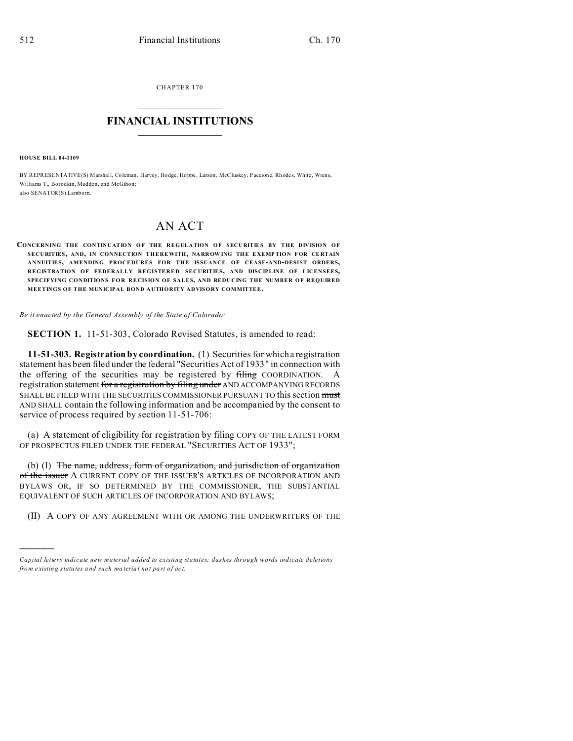CHAPTER 170  $\overline{\phantom{a}}$  , where  $\overline{\phantom{a}}$ 

## **FINANCIAL INSTITUTIONS**  $\frac{1}{2}$  ,  $\frac{1}{2}$  ,  $\frac{1}{2}$  ,  $\frac{1}{2}$  ,  $\frac{1}{2}$  ,  $\frac{1}{2}$  ,  $\frac{1}{2}$

**HOUSE BILL 04-1109**

)))))

BY REPRESENTATIVE(S) Marshall, Coleman, Harvey, Hodge, Hoppe, Larson, McCluskey, Paccione, Rhodes, White, Wiens, Williams T., Borodkin, Madden, and McGihon; also SENATOR(S) Lamborn.

## AN ACT

**CONCERNING THE CONTINUATION OF THE REGULATION OF SECURITIES BY THE DIVISION OF SECURITIES, AND, IN CONNECTION THEREWITH, NARROW ING THE E XEMP TION F OR CE RTAIN ANNUITIES, AMENDING PROCEDURES FOR THE ISSUANCE OF CEASE-AND-DESIST ORDERS, REGISTRATION OF FEDERALLY REGISTERED SECURITIES, AND DISCIPLINE OF LICENSEES, SPECIFYING CONDITIONS FOR RECISION OF SALES, AND REDUCING THE NUMBER OF REQUIRED MEETINGS OF THE MUNICIPAL BOND AUTHORITY ADVISORY COMMITTEE.**

*Be it enacted by the General Assembly of the State of Colorado:*

**SECTION 1.** 11-51-303, Colorado Revised Statutes, is amended to read:

**11-51-303. Registration by coordination.** (1) Securities for which a registration statement has been filed under the federal "Securities Act of 1933" in connection with the offering of the securities may be registered by filing COORDINATION. A registration statement for a registration by filing under AND ACCOMPANYING RECORDS SHALL BE FILED WITH THE SECURITIES COMMISSIONER PURSUANT TO this section must AND SHALL contain the following information and be accompanied by the consent to service of process required by section 11-51-706:

(a) A statement of eligibility for registration by filing COPY OF THE LATEST FORM OF PROSPECTUS FILED UNDER THE FEDERAL "SECURITIES ACT OF 1933";

(b) (I) The name, address, form of organization, and jurisdiction of organization of the issuer A CURRENT COPY OF THE ISSUER'S ARTICLES OF INCORPORATION AND BYLAWS OR, IF SO DETERMINED BY THE COMMISSIONER, THE SUBSTANTIAL EQUIVALENT OF SUCH ARTICLES OF INCORPORATION AND BYLAWS;

(II) A COPY OF ANY AGREEMENT WITH OR AMONG THE UNDERWRITERS OF THE

*Capital letters indicate new material added to existing statutes; dashes through words indicate deletions from e xistin g statu tes a nd such ma teria l no t pa rt of ac t.*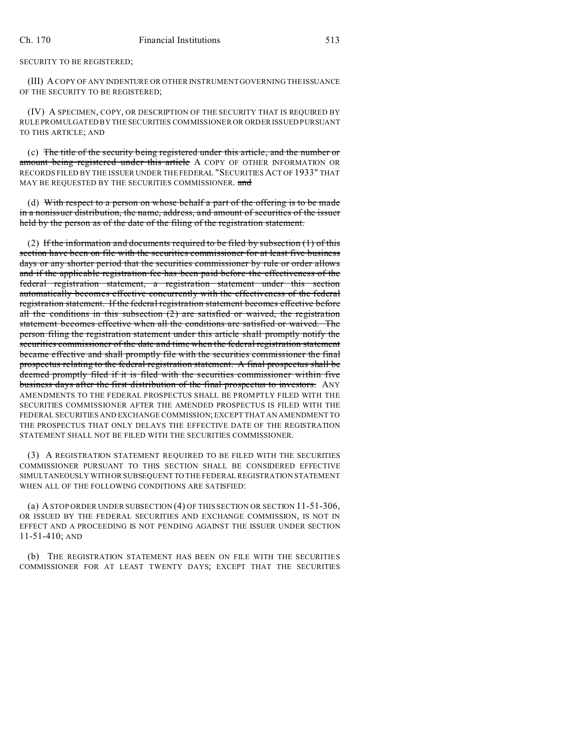SECURITY TO BE REGISTERED;

(III) A COPY OF ANY INDENTURE OR OTHER INSTRUMENT GOVERNING THE ISSUANCE OF THE SECURITY TO BE REGISTERED;

(IV) A SPECIMEN, COPY, OR DESCRIPTION OF THE SECURITY THAT IS REQUIRED BY RULE PROMULGATED BY THE SECURITIES COMMISSIONER OR ORDER ISSUED PURSUANT TO THIS ARTICLE; AND

(c) The title of the security being registered under this article, and the number or amount being registered under this article A COPY OF OTHER INFORMATION OR RECORDS FILED BY THE ISSUER UNDER THE FEDERAL "SECURITIES ACT OF 1933" THAT MAY BE REQUESTED BY THE SECURITIES COMMISSIONER. and

(d) With respect to a person on whose behalf a part of the offering is to be made in a nonissuer distribution, the name, address, and amount of securities of the issuer held by the person as of the date of the filing of the registration statement.

(2) If the information and documents required to be filed by subsection  $(1)$  of this section have been on file with the securities commissioner for at least five business days or any shorter period that the securities commissioner by rule or order allows and if the applicable registration fee has been paid before the effectiveness of the federal registration statement, a registration statement under this section automatically becomes effective concurrently with the effectiveness of the federal registration statement. If the federal registration statement becomes effective before all the conditions in this subsection  $(2)$  are satisfied or waived, the registration statement becomes effective when all the conditions are satisfied or waived. The person filing the registration statement under this article shall promptly notify the securities commissioner of the date and time when the federal registration statement became effective and shall promptly file with the securities commissioner the final prospectus relating to the federal registration statement. A final prospectus shall be deemed promptly filed if it is filed with the securities commissioner within five business days after the first distribution of the final prospectus to investors. ANY AMENDMENTS TO THE FEDERAL PROSPECTUS SHALL BE PROMPTLY FILED WITH THE SECURITIES COMMISSIONER AFTER THE AMENDED PROSPECTUS IS FILED WITH THE FEDERAL SECURITIES AND EXCHANGE COMMISSION; EXCEPT THAT AN AMENDMENT TO THE PROSPECTUS THAT ONLY DELAYS THE EFFECTIVE DATE OF THE REGISTRATION STATEMENT SHALL NOT BE FILED WITH THE SECURITIES COMMISSIONER.

(3) A REGISTRATION STATEMENT REQUIRED TO BE FILED WITH THE SECURITIES COMMISSIONER PURSUANT TO THIS SECTION SHALL BE CONSIDERED EFFECTIVE SIMULTANEOUSLY WITH OR SUBSEQUENT TO THE FEDERAL REGISTRATION STATEMENT WHEN ALL OF THE FOLLOWING CONDITIONS ARE SATISFIED:

(a) A STOP ORDER UNDER SUBSECTION (4) OF THIS SECTION OR SECTION 11-51-306, OR ISSUED BY THE FEDERAL SECURITIES AND EXCHANGE COMMISSION, IS NOT IN EFFECT AND A PROCEEDING IS NOT PENDING AGAINST THE ISSUER UNDER SECTION 11-51-410; AND

(b) THE REGISTRATION STATEMENT HAS BEEN ON FILE WITH THE SECURITIES COMMISSIONER FOR AT LEAST TWENTY DAYS; EXCEPT THAT THE SECURITIES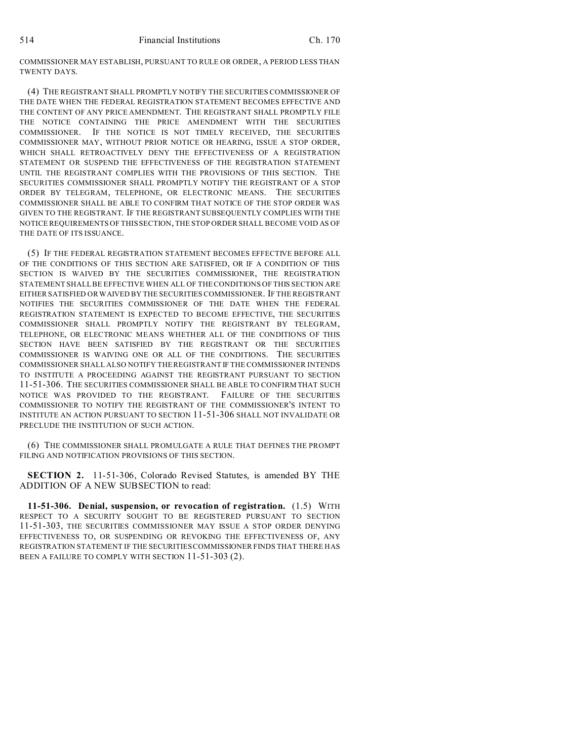COMMISSIONER MAY ESTABLISH, PURSUANT TO RULE OR ORDER, A PERIOD LESS THAN TWENTY DAYS.

(4) THE REGISTRANT SHALL PROMPTLY NOTIFY THE SECURITIES COMMISSIONER OF THE DATE WHEN THE FEDERAL REGISTRATION STATEMENT BECOMES EFFECTIVE AND THE CONTENT OF ANY PRICE AMENDMENT. THE REGISTRANT SHALL PROMPTLY FILE THE NOTICE CONTAINING THE PRICE AMENDMENT WITH THE SECURITIES COMMISSIONER. IF THE NOTICE IS NOT TIMELY RECEIVED, THE SECURITIES COMMISSIONER MAY, WITHOUT PRIOR NOTICE OR HEARING, ISSUE A STOP ORDER, WHICH SHALL RETROACTIVELY DENY THE EFFECTIVENESS OF A REGISTRATION STATEMENT OR SUSPEND THE EFFECTIVENESS OF THE REGISTRATION STATEMENT UNTIL THE REGISTRANT COMPLIES WITH THE PROVISIONS OF THIS SECTION. THE SECURITIES COMMISSIONER SHALL PROMPTLY NOTIFY THE REGISTRANT OF A STOP ORDER BY TELEGRAM, TELEPHONE, OR ELECTRONIC MEANS. THE SECURITIES COMMISSIONER SHALL BE ABLE TO CONFIRM THAT NOTICE OF THE STOP ORDER WAS GIVEN TO THE REGISTRANT. IF THE REGISTRANT SUBSEQUENTLY COMPLIES WITH THE NOTICE REQUIREMENTS OF THIS SECTION, THE STOP ORDER SHALL BECOME VOID AS OF THE DATE OF ITS ISSUANCE.

(5) IF THE FEDERAL REGISTRATION STATEMENT BECOMES EFFECTIVE BEFORE ALL OF THE CONDITIONS OF THIS SECTION ARE SATISFIED, OR IF A CONDITION OF THIS SECTION IS WAIVED BY THE SECURITIES COMMISSIONER, THE REGISTRATION STATEMENT SHALL BE EFFECTIVE WHEN ALL OF THE CONDITIONS OF THIS SECTION ARE EITHER SATISFIED OR WAIVED BY THE SECURITIES COMMISSIONER. IF THE REGISTRANT NOTIFIES THE SECURITIES COMMISSIONER OF THE DATE WHEN THE FEDERAL REGISTRATION STATEMENT IS EXPECTED TO BECOME EFFECTIVE, THE SECURITIES COMMISSIONER SHALL PROMPTLY NOTIFY THE REGISTRANT BY TELEGRAM, TELEPHONE, OR ELECTRONIC MEANS WHETHER ALL OF THE CONDITIONS OF THIS SECTION HAVE BEEN SATISFIED BY THE REGISTRANT OR THE SECURITIES COMMISSIONER IS WAIVING ONE OR ALL OF THE CONDITIONS. THE SECURITIES COMMISSIONER SHALL ALSO NOTIFY THE REGISTRANT IF THE COMMISSIONER INTENDS TO INSTITUTE A PROCEEDING AGAINST THE REGISTRANT PURSUANT TO SECTION 11-51-306. THE SECURITIES COMMISSIONER SHALL BE ABLE TO CONFIRM THAT SUCH NOTICE WAS PROVIDED TO THE REGISTRANT. FAILURE OF THE SECURITIES COMMISSIONER TO NOTIFY THE REGISTRANT OF THE COMMISSIONER'S INTENT TO INSTITUTE AN ACTION PURSUANT TO SECTION 11-51-306 SHALL NOT INVALIDATE OR PRECLUDE THE INSTITUTION OF SUCH ACTION.

(6) THE COMMISSIONER SHALL PROMULGATE A RULE THAT DEFINES THE PROMPT FILING AND NOTIFICATION PROVISIONS OF THIS SECTION.

**SECTION 2.** 11-51-306, Colorado Revised Statutes, is amended BY THE ADDITION OF A NEW SUBSECTION to read:

**11-51-306. Denial, suspension, or revocation of registration.** (1.5) WITH RESPECT TO A SECURITY SOUGHT TO BE REGISTERED PURSUANT TO SECTION 11-51-303, THE SECURITIES COMMISSIONER MAY ISSUE A STOP ORDER DENYING EFFECTIVENESS TO, OR SUSPENDING OR REVOKING THE EFFECTIVENESS OF, ANY REGISTRATION STATEMENT IF THE SECURITIES COMMISSIONER FINDS THAT THERE HAS BEEN A FAILURE TO COMPLY WITH SECTION 11-51-303 (2).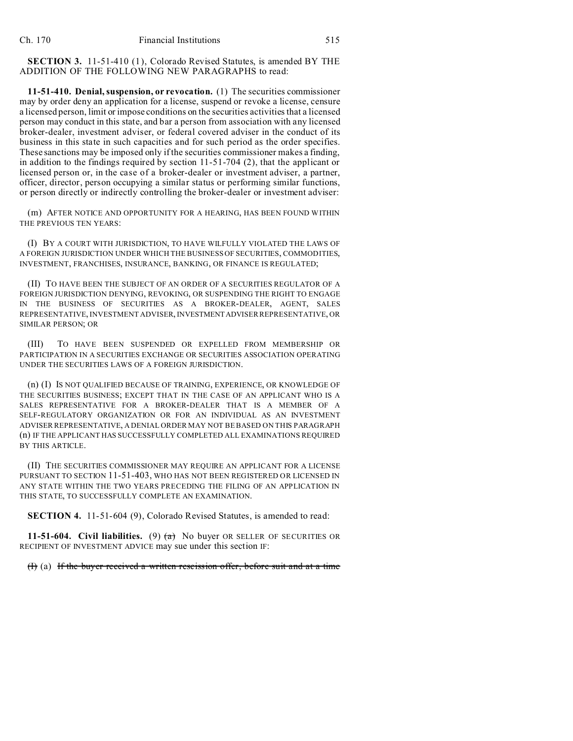**SECTION 3.** 11-51-410 (1), Colorado Revised Statutes, is amended BY THE ADDITION OF THE FOLLOWING NEW PARAGRAPHS to read:

**11-51-410. Denial, suspension, or revocation.** (1) The securities commissioner may by order deny an application for a license, suspend or revoke a license, censure a licensed person, limit or impose conditions on the securities activities that a licensed person may conduct in this state, and bar a person from association with any licensed broker-dealer, investment adviser, or federal covered adviser in the conduct of its business in this state in such capacities and for such period as the order specifies. These sanctions may be imposed only if the securities commissioner makes a finding, in addition to the findings required by section 11-51-704 (2), that the applicant or licensed person or, in the case of a broker-dealer or investment adviser, a partner, officer, director, person occupying a similar status or performing similar functions, or person directly or indirectly controlling the broker-dealer or investment adviser:

(m) AFTER NOTICE AND OPPORTUNITY FOR A HEARING, HAS BEEN FOUND WITHIN THE PREVIOUS TEN YEARS:

(I) BY A COURT WITH JURISDICTION, TO HAVE WILFULLY VIOLATED THE LAWS OF A FOREIGN JURISDICTION UNDER WHICH THE BUSINESS OF SECURITIES, COMMODITIES, INVESTMENT, FRANCHISES, INSURANCE, BANKING, OR FINANCE IS REGULATED;

(II) TO HAVE BEEN THE SUBJECT OF AN ORDER OF A SECURITIES REGULATOR OF A FOREIGN JURISDICTION DENYING, REVOKING, OR SUSPENDING THE RIGHT TO ENGAGE IN THE BUSINESS OF SECURITIES AS A BROKER-DEALER, AGENT, SALES REPRESENTATIVE, INVESTMENT ADVISER, INVESTMENTADVISER REPRESENTATIVE, OR SIMILAR PERSON; OR

(III) TO HAVE BEEN SUSPENDED OR EXPELLED FROM MEMBERSHIP OR PARTICIPATION IN A SECURITIES EXCHANGE OR SECURITIES ASSOCIATION OPERATING UNDER THE SECURITIES LAWS OF A FOREIGN JURISDICTION.

(n) (I) IS NOT QUALIFIED BECAUSE OF TRAINING, EXPERIENCE, OR KNOWLEDGE OF THE SECURITIES BUSINESS; EXCEPT THAT IN THE CASE OF AN APPLICANT WHO IS A SALES REPRESENTATIVE FOR A BROKER-DEALER THAT IS A MEMBER OF A SELF-REGULATORY ORGANIZATION OR FOR AN INDIVIDUAL AS AN INVESTMENT ADVISER REPRESENTATIVE, A DENIAL ORDER MAY NOT BE BASED ON THIS PARAGRAPH (n) IF THE APPLICANT HAS SUCCESSFULLY COMPLETED ALL EXAMINATIONS REQUIRED BY THIS ARTICLE.

(II) THE SECURITIES COMMISSIONER MAY REQUIRE AN APPLICANT FOR A LICENSE PURSUANT TO SECTION 11-51-403, WHO HAS NOT BEEN REGISTERED OR LICENSED IN ANY STATE WITHIN THE TWO YEARS PRECEDING THE FILING OF AN APPLICATION IN THIS STATE, TO SUCCESSFULLY COMPLETE AN EXAMINATION.

**SECTION 4.** 11-51-604 (9), Colorado Revised Statutes, is amended to read:

**11-51-604. Civil liabilities.** (9)  $(a)$  No buyer OR SELLER OF SECURITIES OR RECIPIENT OF INVESTMENT ADVICE may sue under this section IF:

(I) (a) If the buyer received a written rescission offer, before suit and at a time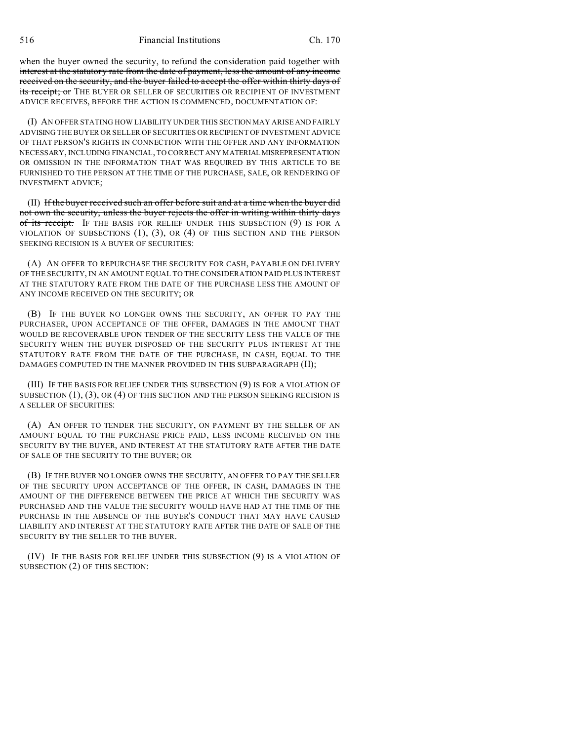516 Financial Institutions Ch. 170

when the buyer owned the security, to refund the consideration paid together with interest at the statutory rate from the date of payment, less the amount of any income received on the security, and the buyer failed to accept the offer within thirty days of its receipt; or THE BUYER OR SELLER OF SECURITIES OR RECIPIENT OF INVESTMENT ADVICE RECEIVES, BEFORE THE ACTION IS COMMENCED, DOCUMENTATION OF:

(I) AN OFFER STATING HOW LIABILITY UNDER THIS SECTION MAY ARISE AND FAIRLY ADVISING THE BUYER OR SELLER OF SECURITIES OR RECIPIENT OF INVESTMENT ADVICE OF THAT PERSON'S RIGHTS IN CONNECTION WITH THE OFFER AND ANY INFORMATION NECESSARY, INCLUDING FINANCIAL, TO CORRECT ANY MATERIALMISREPRESENTATION OR OMISSION IN THE INFORMATION THAT WAS REQUIRED BY THIS ARTICLE TO BE FURNISHED TO THE PERSON AT THE TIME OF THE PURCHASE, SALE, OR RENDERING OF INVESTMENT ADVICE;

(II) If the buyer received such an offer before suit and at a time when the buyer did not own the security, unless the buyer rejects the offer in writing within thirty days of its receipt. IF THE BASIS FOR RELIEF UNDER THIS SUBSECTION (9) IS FOR A VIOLATION OF SUBSECTIONS (1), (3), OR (4) OF THIS SECTION AND THE PERSON SEEKING RECISION IS A BUYER OF SECURITIES:

(A) AN OFFER TO REPURCHASE THE SECURITY FOR CASH, PAYABLE ON DELIVERY OF THE SECURITY, IN AN AMOUNT EQUAL TO THE CONSIDERATION PAID PLUS INTEREST AT THE STATUTORY RATE FROM THE DATE OF THE PURCHASE LESS THE AMOUNT OF ANY INCOME RECEIVED ON THE SECURITY; OR

(B) IF THE BUYER NO LONGER OWNS THE SECURITY, AN OFFER TO PAY THE PURCHASER, UPON ACCEPTANCE OF THE OFFER, DAMAGES IN THE AMOUNT THAT WOULD BE RECOVERABLE UPON TENDER OF THE SECURITY LESS THE VALUE OF THE SECURITY WHEN THE BUYER DISPOSED OF THE SECURITY PLUS INTEREST AT THE STATUTORY RATE FROM THE DATE OF THE PURCHASE, IN CASH, EQUAL TO THE DAMAGES COMPUTED IN THE MANNER PROVIDED IN THIS SUBPARAGRAPH (II);

(III) IF THE BASIS FOR RELIEF UNDER THIS SUBSECTION (9) IS FOR A VIOLATION OF SUBSECTION (1), (3), OR (4) OF THIS SECTION AND THE PERSON SEEKING RECISION IS A SELLER OF SECURITIES:

(A) AN OFFER TO TENDER THE SECURITY, ON PAYMENT BY THE SELLER OF AN AMOUNT EQUAL TO THE PURCHASE PRICE PAID, LESS INCOME RECEIVED ON THE SECURITY BY THE BUYER, AND INTEREST AT THE STATUTORY RATE AFTER THE DATE OF SALE OF THE SECURITY TO THE BUYER; OR

(B) IF THE BUYER NO LONGER OWNS THE SECURITY, AN OFFER TO PAY THE SELLER OF THE SECURITY UPON ACCEPTANCE OF THE OFFER, IN CASH, DAMAGES IN THE AMOUNT OF THE DIFFERENCE BETWEEN THE PRICE AT WHICH THE SECURITY WAS PURCHASED AND THE VALUE THE SECURITY WOULD HAVE HAD AT THE TIME OF THE PURCHASE IN THE ABSENCE OF THE BUYER'S CONDUCT THAT MAY HAVE CAUSED LIABILITY AND INTEREST AT THE STATUTORY RATE AFTER THE DATE OF SALE OF THE SECURITY BY THE SELLER TO THE BUYER.

(IV) IF THE BASIS FOR RELIEF UNDER THIS SUBSECTION (9) IS A VIOLATION OF SUBSECTION (2) OF THIS SECTION: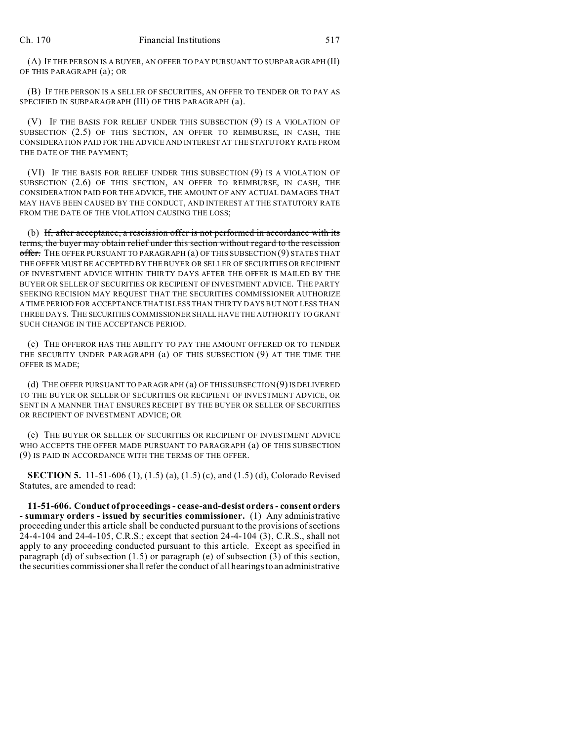(A) IF THE PERSON IS A BUYER, AN OFFER TO PAY PURSUANT TO SUBPARAGRAPH (II) OF THIS PARAGRAPH (a); OR

(B) IF THE PERSON IS A SELLER OF SECURITIES, AN OFFER TO TENDER OR TO PAY AS SPECIFIED IN SUBPARAGRAPH (III) OF THIS PARAGRAPH (a).

(V) IF THE BASIS FOR RELIEF UNDER THIS SUBSECTION (9) IS A VIOLATION OF SUBSECTION (2.5) OF THIS SECTION, AN OFFER TO REIMBURSE, IN CASH, THE CONSIDERATION PAID FOR THE ADVICE AND INTEREST AT THE STATUTORY RATE FROM THE DATE OF THE PAYMENT;

(VI) IF THE BASIS FOR RELIEF UNDER THIS SUBSECTION (9) IS A VIOLATION OF SUBSECTION (2.6) OF THIS SECTION, AN OFFER TO REIMBURSE, IN CASH, THE CONSIDERATION PAID FOR THE ADVICE, THE AMOUNT OF ANY ACTUAL DAMAGES THAT MAY HAVE BEEN CAUSED BY THE CONDUCT, AND INTEREST AT THE STATUTORY RATE FROM THE DATE OF THE VIOLATION CAUSING THE LOSS;

(b) If, after acceptance, a rescission offer is not performed in accordance with its terms, the buyer may obtain relief under this section without regard to the rescission offer. THE OFFER PURSUANT TO PARAGRAPH (a) OF THIS SUBSECTION (9) STATES THAT THE OFFER MUST BE ACCEPTED BY THE BUYER OR SELLER OF SECURITIES OR RECIPIENT OF INVESTMENT ADVICE WITHIN THIRTY DAYS AFTER THE OFFER IS MAILED BY THE BUYER OR SELLER OF SECURITIES OR RECIPIENT OF INVESTMENT ADVICE. THE PARTY SEEKING RECISION MAY REQUEST THAT THE SECURITIES COMMISSIONER AUTHORIZE A TIME PERIOD FOR ACCEPTANCE THAT IS LESS THAN THIRTY DAYS BUT NOT LESS THAN THREE DAYS. THE SECURITIES COMMISSIONER SHALL HAVE THE AUTHORITY TO GRANT SUCH CHANGE IN THE ACCEPTANCE PERIOD.

(c) THE OFFEROR HAS THE ABILITY TO PAY THE AMOUNT OFFERED OR TO TENDER THE SECURITY UNDER PARAGRAPH (a) OF THIS SUBSECTION (9) AT THE TIME THE OFFER IS MADE;

(d) THE OFFER PURSUANT TO PARAGRAPH (a) OF THIS SUBSECTION (9) IS DELIVERED TO THE BUYER OR SELLER OF SECURITIES OR RECIPIENT OF INVESTMENT ADVICE, OR SENT IN A MANNER THAT ENSURES RECEIPT BY THE BUYER OR SELLER OF SECURITIES OR RECIPIENT OF INVESTMENT ADVICE; OR

(e) THE BUYER OR SELLER OF SECURITIES OR RECIPIENT OF INVESTMENT ADVICE WHO ACCEPTS THE OFFER MADE PURSUANT TO PARAGRAPH (a) OF THIS SUBSECTION (9) IS PAID IN ACCORDANCE WITH THE TERMS OF THE OFFER.

**SECTION 5.** 11-51-606 (1), (1.5) (a), (1.5) (c), and (1.5) (d), Colorado Revised Statutes, are amended to read:

**11-51-606. Conduct of proceedings - cease-and-desist orders - consent orders - summary orders - issued by securities commissioner.** (1) Any administrative proceeding under this article shall be conducted pursuant to the provisions of sections 24-4-104 and 24-4-105, C.R.S.; except that section 24-4-104 (3), C.R.S., shall not apply to any proceeding conducted pursuant to this article. Except as specified in paragraph (d) of subsection (1.5) or paragraph (e) of subsection (3) of this section, the securities commissioner shall refer the conduct of all hearings to an administrative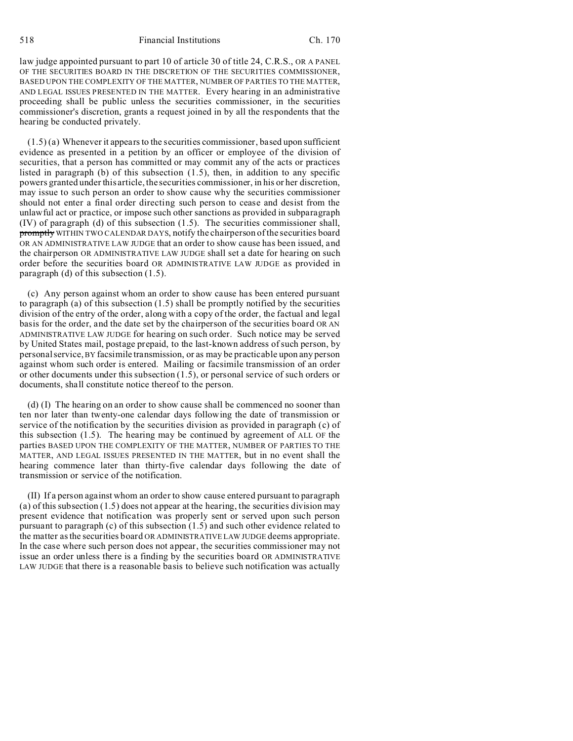518 Financial Institutions Ch. 170

law judge appointed pursuant to part 10 of article 30 of title 24, C.R.S., OR A PANEL OF THE SECURITIES BOARD IN THE DISCRETION OF THE SECURITIES COMMISSIONER, BASED UPON THE COMPLEXITY OF THE MATTER, NUMBER OF PARTIES TO THE MATTER, AND LEGAL ISSUES PRESENTED IN THE MATTER. Every hearing in an administrative proceeding shall be public unless the securities commissioner, in the securities commissioner's discretion, grants a request joined in by all the respondents that the hearing be conducted privately.

(1.5) (a) Whenever it appears to the securities commissioner, based upon sufficient evidence as presented in a petition by an officer or employee of the division of securities, that a person has committed or may commit any of the acts or practices listed in paragraph (b) of this subsection  $(1.5)$ , then, in addition to any specific powers granted under this article, the securities commissioner, in his or her discretion, may issue to such person an order to show cause why the securities commissioner should not enter a final order directing such person to cease and desist from the unlawful act or practice, or impose such other sanctions as provided in subparagraph (IV) of paragraph (d) of this subsection (1.5). The securities commissioner shall, promptly WITHIN TWO CALENDAR DAYS, notify the chairperson of the securities board OR AN ADMINISTRATIVE LAW JUDGE that an order to show cause has been issued, and the chairperson OR ADMINISTRATIVE LAW JUDGE shall set a date for hearing on such order before the securities board OR ADMINISTRATIVE LAW JUDGE as provided in paragraph (d) of this subsection (1.5).

(c) Any person against whom an order to show cause has been entered pursuant to paragraph (a) of this subsection (1.5) shall be promptly notified by the securities division of the entry of the order, along with a copy of the order, the factual and legal basis for the order, and the date set by the chairperson of the securities board OR AN ADMINISTRATIVE LAW JUDGE for hearing on such order. Such notice may be served by United States mail, postage prepaid, to the last-known address of such person, by personal service, BY facsimile transmission, or as may be practicable upon any person against whom such order is entered. Mailing or facsimile transmission of an order or other documents under this subsection (1.5), or personal service of such orders or documents, shall constitute notice thereof to the person.

(d) (I) The hearing on an order to show cause shall be commenced no sooner than ten nor later than twenty-one calendar days following the date of transmission or service of the notification by the securities division as provided in paragraph (c) of this subsection (1.5). The hearing may be continued by agreement of ALL OF the parties BASED UPON THE COMPLEXITY OF THE MATTER, NUMBER OF PARTIES TO THE MATTER, AND LEGAL ISSUES PRESENTED IN THE MATTER, but in no event shall the hearing commence later than thirty-five calendar days following the date of transmission or service of the notification.

(II) If a person against whom an order to show cause entered pursuant to paragraph (a) of this subsection  $(1.5)$  does not appear at the hearing, the securities division may present evidence that notification was properly sent or served upon such person pursuant to paragraph (c) of this subsection (1.5) and such other evidence related to the matter as the securities board OR ADMINISTRATIVE LAW JUDGE deems appropriate. In the case where such person does not appear, the securities commissioner may not issue an order unless there is a finding by the securities board OR ADMINISTRATIVE LAW JUDGE that there is a reasonable basis to believe such notification was actually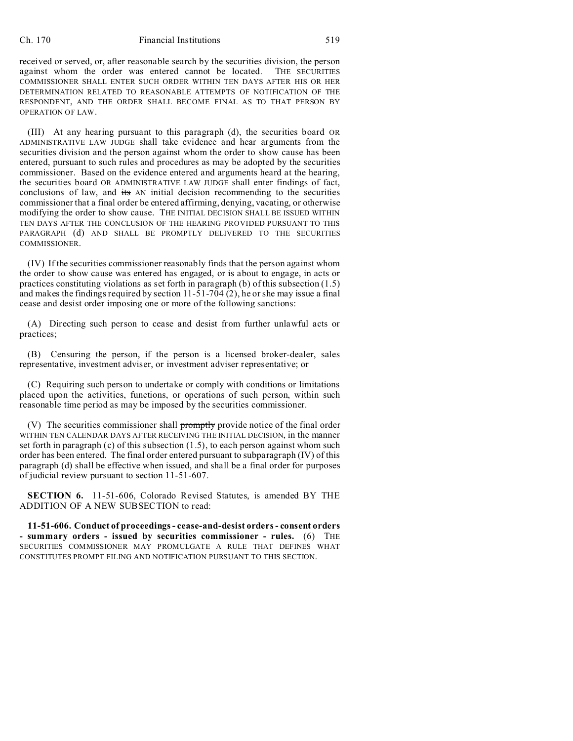## Ch. 170 Financial Institutions 519

received or served, or, after reasonable search by the securities division, the person against whom the order was entered cannot be located. THE SECURITIES COMMISSIONER SHALL ENTER SUCH ORDER WITHIN TEN DAYS AFTER HIS OR HER DETERMINATION RELATED TO REASONABLE ATTEMPTS OF NOTIFICATION OF THE RESPONDENT, AND THE ORDER SHALL BECOME FINAL AS TO THAT PERSON BY OPERATION OF LAW.

(III) At any hearing pursuant to this paragraph (d), the securities board OR ADMINISTRATIVE LAW JUDGE shall take evidence and hear arguments from the securities division and the person against whom the order to show cause has been entered, pursuant to such rules and procedures as may be adopted by the securities commissioner. Based on the evidence entered and arguments heard at the hearing, the securities board OR ADMINISTRATIVE LAW JUDGE shall enter findings of fact, conclusions of law, and its AN initial decision recommending to the securities commissioner that a final order be entered affirming, denying, vacating, or otherwise modifying the order to show cause. THE INITIAL DECISION SHALL BE ISSUED WITHIN TEN DAYS AFTER THE CONCLUSION OF THE HEARING PROVIDED PURSUANT TO THIS PARAGRAPH (d) AND SHALL BE PROMPTLY DELIVERED TO THE SECURITIES COMMISSIONER.

(IV) If the securities commissioner reasonably finds that the person against whom the order to show cause was entered has engaged, or is about to engage, in acts or practices constituting violations as set forth in paragraph (b) of this subsection (1.5) and makes the findings required by section  $11-51-704(2)$ , he or she may issue a final cease and desist order imposing one or more of the following sanctions:

(A) Directing such person to cease and desist from further unlawful acts or practices;

(B) Censuring the person, if the person is a licensed broker-dealer, sales representative, investment adviser, or investment adviser representative; or

(C) Requiring such person to undertake or comply with conditions or limitations placed upon the activities, functions, or operations of such person, within such reasonable time period as may be imposed by the securities commissioner.

(V) The securities commissioner shall promptly provide notice of the final order WITHIN TEN CALENDAR DAYS AFTER RECEIVING THE INITIAL DECISION, in the manner set forth in paragraph (c) of this subsection (1.5), to each person against whom such order has been entered. The final order entered pursuant to subparagraph (IV) of this paragraph (d) shall be effective when issued, and shall be a final order for purposes of judicial review pursuant to section 11-51-607.

**SECTION 6.** 11-51-606, Colorado Revised Statutes, is amended BY THE ADDITION OF A NEW SUBSECTION to read:

**11-51-606. Conduct of proceedings - cease-and-desist orders - consent orders - summary orders - issued by securities commissioner - rules.** (6) THE SECURITIES COMMISSIONER MAY PROMULGATE A RULE THAT DEFINES WHAT CONSTITUTES PROMPT FILING AND NOTIFICATION PURSUANT TO THIS SECTION.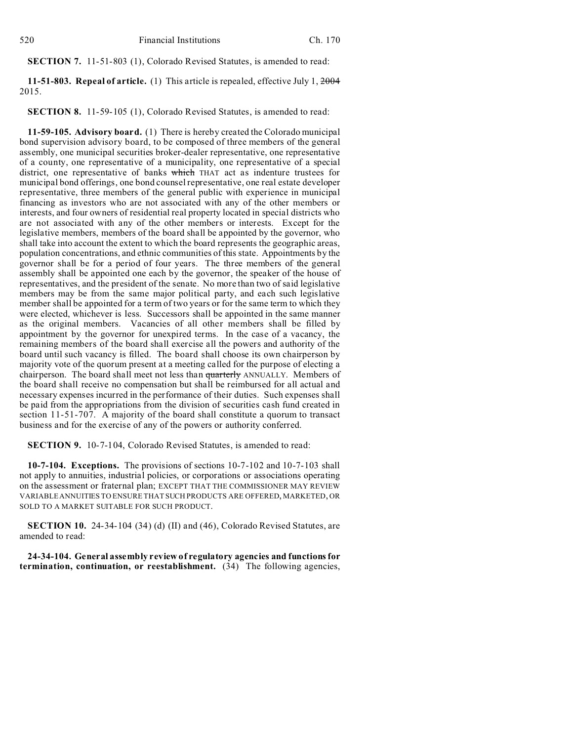**SECTION 7.** 11-51-803 (1), Colorado Revised Statutes, is amended to read:

**11-51-803. Repeal of article.** (1) This article is repealed, effective July 1, 2004 2015.

**SECTION 8.** 11-59-105 (1), Colorado Revised Statutes, is amended to read:

**11-59-105. Advisory board.** (1) There is hereby created the Colorado municipal bond supervision advisory board, to be composed of three members of the general assembly, one municipal securities broker-dealer representative, one representative of a county, one representative of a municipality, one representative of a special district, one representative of banks which THAT act as indenture trustees for municipal bond offerings, one bond counsel representative, one real estate developer representative, three members of the general public with experience in municipal financing as investors who are not associated with any of the other members or interests, and four owners of residential real property located in special districts who are not associated with any of the other members or interests. Except for the legislative members, members of the board shall be appointed by the governor, who shall take into account the extent to which the board represents the geographic areas, population concentrations, and ethnic communities of this state. Appointments by the governor shall be for a period of four years. The three members of the general assembly shall be appointed one each by the governor, the speaker of the house of representatives, and the president of the senate. No more than two of said legislative members may be from the same major political party, and each such legislative member shall be appointed for a term of two years or for the same term to which they were elected, whichever is less. Successors shall be appointed in the same manner as the original members. Vacancies of all other members shall be filled by appointment by the governor for unexpired terms. In the case of a vacancy, the remaining members of the board shall exercise all the powers and authority of the board until such vacancy is filled. The board shall choose its own chairperson by majority vote of the quorum present at a meeting called for the purpose of electing a chairperson. The board shall meet not less than quarterly ANNUALLY. Members of the board shall receive no compensation but shall be reimbursed for all actual and necessary expenses incurred in the performance of their duties. Such expenses shall be paid from the appropriations from the division of securities cash fund created in section 11-51-707. A majority of the board shall constitute a quorum to transact business and for the exercise of any of the powers or authority conferred.

**SECTION 9.** 10-7-104, Colorado Revised Statutes, is amended to read:

**10-7-104. Exceptions.** The provisions of sections 10-7-102 and 10-7-103 shall not apply to annuities, industrial policies, or corporations or associations operating on the assessment or fraternal plan; EXCEPT THAT THE COMMISSIONER MAY REVIEW VARIABLE ANNUITIES TO ENSURE THAT SUCH PRODUCTS ARE OFFERED, MARKETED, OR SOLD TO A MARKET SUITABLE FOR SUCH PRODUCT.

**SECTION 10.** 24-34-104 (34) (d) (II) and (46), Colorado Revised Statutes, are amended to read:

**24-34-104. General assembly review of regulatory agencies and functions for termination, continuation, or reestablishment.** (34) The following agencies,